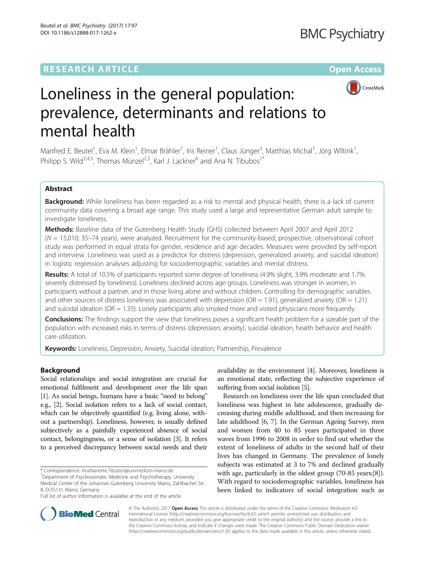## **RESEARCH ARTICLE External Structure Community Community Community Community Community Community Community Community**



# Loneliness in the general population: prevalence, determinants and relations to mental health

Manfred E. Beutel<sup>1</sup>, Eva M. Klein<sup>1</sup>, Elmar Brähler<sup>1</sup>, Iris Reiner<sup>1</sup>, Claus Jünger<sup>3</sup>, Matthias Michal<sup>1</sup>, Jörg Wiltink<sup>1</sup> , Philipp S. Wild<sup>3,4,5</sup>, Thomas Münzel<sup>2,5</sup>, Karl J. Lackner<sup>6</sup> and Ana N. Tibubos<sup>1</sup><sup>\*</sup>

## Abstract

Background: While loneliness has been regarded as a risk to mental and physical health, there is a lack of current community data covering a broad age range. This study used a large and representative German adult sample to investigate loneliness.

Methods: Baseline data of the Gutenberg Health Study (GHS) collected between April 2007 and April 2012  $(N = 15,010; 35-74$  years), were analyzed. Recruitment for the community-based, prospective, observational cohort study was performed in equal strata for gender, residence and age decades. Measures were provided by self-report and interview. Loneliness was used as a predictor for distress (depression, generalized anxiety, and suicidal ideation) in logistic regression analyses adjusting for sociodemographic variables and mental distress.

Results: A total of 10.5% of participants reported some degree of loneliness (4.9% slight, 3.9% moderate and 1.7% severely distressed by loneliness). Loneliness declined across age groups. Loneliness was stronger in women, in participants without a partner, and in those living alone and without children. Controlling for demographic variables and other sources of distress loneliness was associated with depression (OR = 1.91), generalized anxiety (OR = 1.21) and suicidal ideation (OR = 1.35). Lonely participants also smoked more and visited physicians more frequently.

**Conclusions:** The findings support the view that loneliness poses a significant health problem for a sizeable part of the population with increased risks in terms of distress (depression, anxiety), suicidal ideation, health behavior and health care utilization.

Keywords: Loneliness, Depression, Anxiety, Suicidal ideation, Partnership, Prevalence

## Background

Social relationships and social integration are crucial for emotional fulfilment and development over the life span [[1](#page-6-0)]. As social beings, humans have a basic "need to belong" e.g., [\[2](#page-6-0)]. Social isolation refers to a lack of social contact, which can be objectively quantified (e.g. living alone, without a partnership). Loneliness, however, is usually defined subjectively as a painfully experienced absence of social contact, belongingness, or a sense of isolation [\[3\]](#page-6-0). It refers to a perceived discrepancy between social needs and their availability in the environment [[4](#page-6-0)]. Moreover, loneliness is an emotional state, reflecting the subjective experience of suffering from social isolation [\[5\]](#page-6-0).

Research on loneliness over the life span concluded that loneliness was highest in late adolescence, gradually decreasing during middle adulthood, and then increasing for late adulthood [\[6](#page-6-0), [7](#page-6-0)]. In the German Ageing Survey, men and women from 40 to 85 years participated in three waves from 1996 to 2008 in order to find out whether the extent of loneliness of adults in the second half of their lives has changed in Germany. The prevalence of lonely subjects was estimated at 3 to 7% and declined gradually with age, particularly in the oldest group (70-85 years;[\[8](#page-6-0)]). With regard to sociodemographic variables, loneliness has been linked to indicators of social integration such as



© The Author(s). 2017 **Open Access** This article is distributed under the terms of the Creative Commons Attribution 4.0 International License [\(http://creativecommons.org/licenses/by/4.0/](http://creativecommons.org/licenses/by/4.0/)), which permits unrestricted use, distribution, and reproduction in any medium, provided you give appropriate credit to the original author(s) and the source, provide a link to the Creative Commons license, and indicate if changes were made. The Creative Commons Public Domain Dedication waiver [\(http://creativecommons.org/publicdomain/zero/1.0/](http://creativecommons.org/publicdomain/zero/1.0/)) applies to the data made available in this article, unless otherwise stated.

<sup>\*</sup> Correspondence: [AnaNanette.Tibubos@unimedizin-mainz.de](mailto:AnaNanette.Tibubos@unimedizin-mainz.de) <sup>1</sup>

<sup>&</sup>lt;sup>1</sup>Department of Psychosomatic Medicine and Psychotherapy, University

Medical Center of the Johannes Gutenberg University Mainz, Zahlbacher Str. 8, D-55131 Mainz, Germany

Full list of author information is available at the end of the article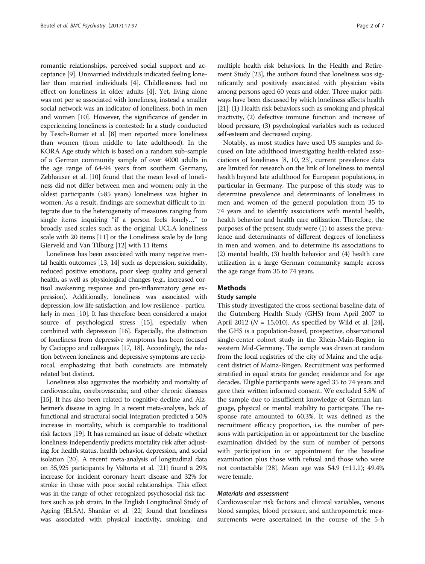romantic relationships, perceived social support and acceptance [\[9](#page-6-0)]. Unmarried individuals indicated feeling lonelier than married individuals [\[4](#page-6-0)]. Childlessness had no effect on loneliness in older adults [[4\]](#page-6-0). Yet, living alone was not per se associated with loneliness, instead a smaller social network was an indicator of loneliness, both in men and women [\[10\]](#page-6-0). However, the significance of gender in experiencing loneliness is contested: In a study conducted by Tesch-Römer et al. [\[8](#page-6-0)] men reported more loneliness than women (from middle to late adulthood). In the KORA Age study which is based on a random sub-sample of a German community sample of over 4000 adults in the age range of 64-94 years from southern Germany, Zebhauser et al. [\[10\]](#page-6-0) found that the mean level of loneliness did not differ between men and women; only in the oldest participants (>85 years) loneliness was higher in women. As a result, findings are somewhat difficult to integrate due to the heterogeneity of measures ranging from single items inquiring "if a person feels lonely…" to broadly used scales such as the original UCLA loneliness scale with 20 items [[11\]](#page-6-0) or the Loneliness scale by de Jong Gierveld and Van Tilburg [[12](#page-6-0)] with 11 items.

Loneliness has been associated with many negative mental health outcomes [[13, 14\]](#page-6-0) such as depression, suicidality, reduced positive emotions, poor sleep quality and general health, as well as physiological changes (e.g., increased cortisol awakening response and pro-inflammatory gene expression). Additionally, loneliness was associated with depression, low life satisfaction, and low resilience - particularly in men [\[10](#page-6-0)]. It has therefore been considered a major source of psychological stress [[15](#page-6-0)], especially when combined with depression [\[16](#page-6-0)]. Especially, the distinction of loneliness from depressive symptoms has been focused by Cacioppo and colleagues [[17](#page-6-0), [18\]](#page-6-0). Accordingly, the relation between loneliness and depressive symptoms are reciprocal, emphasizing that both constructs are intimately related but distinct.

Loneliness also aggravates the morbidity and mortality of cardiovascular, cerebrovascular, and other chronic diseases [[15](#page-6-0)]. It has also been related to cognitive decline and Alzheimer's disease in aging. In a recent meta-analysis, lack of functional and structural social integration predicted a 50% increase in mortality, which is comparable to traditional risk factors [\[19\]](#page-6-0). It has remained an issue of debate whether loneliness independently predicts mortality risk after adjusting for health status, health behavior, depression, and social isolation [[20](#page-6-0)]. A recent meta-analysis of longitudinal data on 35,925 participants by Valtorta et al. [\[21\]](#page-6-0) found a 29% increase for incident coronary heart disease and 32% for stroke in those with poor social relationships. This effect was in the range of other recognized psychosocial risk factors such as job strain. In the English Longitudinal Study of Ageing (ELSA), Shankar et al. [\[22](#page-6-0)] found that loneliness was associated with physical inactivity, smoking, and

multiple health risk behaviors. In the Health and Retirement Study [\[23\]](#page-6-0), the authors found that loneliness was significantly and positively associated with physician visits among persons aged 60 years and older. Three major pathways have been discussed by which loneliness affects health [[21](#page-6-0)]: (1) Health risk behaviors such as smoking and physical inactivity, (2) defective immune function and increase of blood pressure, (3) psychological variables such as reduced self-esteem and decreased coping.

Notably, as most studies have used US samples and focused on late adulthood investigating health-related associations of loneliness [\[8, 10](#page-6-0), [23\]](#page-6-0), current prevalence data are limited for research on the link of loneliness to mental health beyond late adulthood for European populations, in particular in Germany. The purpose of this study was to determine prevalence and determinants of loneliness in men and women of the general population from 35 to 74 years and to identify associations with mental health, health behavior and health care utilization. Therefore, the purposes of the present study were (1) to assess the prevalence and determinants of different degrees of loneliness in men and women, and to determine its associations to (2) mental health, (3) health behavior and (4) health care utilization in a large German community sample across the age range from 35 to 74 years.

## **Methods**

## Study sample

This study investigated the cross-sectional baseline data of the Gutenberg Health Study (GHS) from April 2007 to April 2012 ( $N = 15,010$ ). As specified by Wild et al. [[24](#page-6-0)], the GHS is a population-based, prospective, observational single-center cohort study in the Rhein-Main-Region in western Mid-Germany. The sample was drawn at random from the local registries of the city of Mainz and the adjacent district of Mainz-Bingen. Recruitment was performed stratified in equal strata for gender, residence and for age decades. Eligible participants were aged 35 to 74 years and gave their written informed consent. We excluded 5.8% of the sample due to insufficient knowledge of German language, physical or mental inability to participate. The response rate amounted to 60.3%. It was defined as the recruitment efficacy proportion, i.e. the number of persons with participation in or appointment for the baseline examination divided by the sum of number of persons with participation in or appointment for the baseline examination plus those with refusal and those who were not contactable [[28](#page-6-0)]. Mean age was 54.9 (±11.1); 49.4% were female.

## Materials and assessment

Cardiovascular risk factors and clinical variables, venous blood samples, blood pressure, and anthropometric measurements were ascertained in the course of the 5-h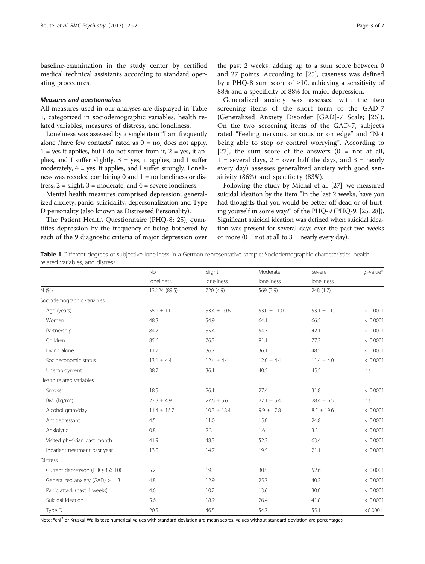<span id="page-2-0"></span>baseline-examination in the study center by certified medical technical assistants according to standard operating procedures.

## Measures and questionnaires

All measures used in our analyses are displayed in Table 1, categorized in sociodemographic variables, health related variables, measures of distress, and loneliness.

Loneliness was assessed by a single item "I am frequently alone /have few contacts" rated as  $0 = no$ , does not apply,  $1 = yes$  it applies, but I do not suffer from it,  $2 = yes$ , it applies, and I suffer slightly,  $3 = yes$ , it applies, and I suffer moderately,  $4 = yes$ , it applies, and I suffer strongly. Loneliness was recoded combining  $0$  and  $1 =$  no loneliness or distress;  $2 =$  slight,  $3 =$  moderate, and  $4 =$  severe loneliness.

Mental health measures comprised depression, generalized anxiety, panic, suicidality, depersonalization and Type D personality (also known as Distressed Personality).

The Patient Health Questionnaire (PHQ-8; 25), quantifies depression by the frequency of being bothered by each of the 9 diagnostic criteria of major depression over

the past 2 weeks, adding up to a sum score between 0 and 27 points. According to [\[25](#page-6-0)], caseness was defined by a PHQ-8 sum score of ≥10, achieving a sensitivity of 88% and a specificity of 88% for major depression.

Generalized anxiety was assessed with the two screening items of the short form of the GAD-7 (Generalized Anxiety Disorder [GAD]-7 Scale; [[26\]](#page-6-0)). On the two screening items of the GAD-7, subjects rated "Feeling nervous, anxious or on edge" and "Not being able to stop or control worrying". According to [[27](#page-6-0)], the sum score of the answers  $(0 = \text{not at all},$  $1$  = several days,  $2$  = over half the days, and  $3$  = nearly every day) assesses generalized anxiety with good sensitivity (86%) and specificity (83%).

Following the study by Michal et al. [\[27\]](#page-6-0), we measured suicidal ideation by the item "In the last 2 weeks, have you had thoughts that you would be better off dead or of hurting yourself in some way?" of the PHQ-9 (PHQ-9; [\[25](#page-6-0), [28](#page-6-0)]). Significant suicidal ideation was defined when suicidal ideation was present for several days over the past two weeks or more  $(0 = not at all to 3 = nearly every day).$ 

Table 1 Different degrees of subjective loneliness in a German representative sample: Sociodemographic characteristics, health related variables, and distress

|                                      | <b>No</b>       | Slight          | Moderate        | Severe          | $p$ -value* |
|--------------------------------------|-----------------|-----------------|-----------------|-----------------|-------------|
|                                      | loneliness      | loneliness      | loneliness      | loneliness      |             |
| N (%)                                | 13,124 (89.5)   | 720 (4.9)       | 569 (3.9)       | 248 (1.7)       |             |
| Sociodemographic variables           |                 |                 |                 |                 |             |
| Age (years)                          | $55.1 \pm 11.1$ | $53.4 \pm 10.6$ | $53.0 \pm 11.0$ | $53.1 \pm 11.1$ | < 0.0001    |
| Women                                | 48.3            | 54.9            | 64.1            | 66.5            | < 0.0001    |
| Partnership                          | 84.7            | 55.4            | 54.3            | 42.1            | < 0.0001    |
| Children                             | 85.6            | 76.3            | 81.1            | 77.3            | < 0.0001    |
| Living alone                         | 11.7            | 36.7            | 36.1            | 48.5            | < 0.0001    |
| Socioeconomic status                 | $13.1 \pm 4.4$  | $12.4 \pm 4.4$  | $12.0 \pm 4.4$  | $11.4 \pm 4.0$  | < 0.0001    |
| Unemployment                         | 38.7            | 36.1            | 40.5            | 45.5            | n.s.        |
| Health related variables             |                 |                 |                 |                 |             |
| Smoker                               | 18.5            | 26.1            | 27.4            | 31.8            | < 0.0001    |
| BMI ( $kg/m2$ )                      | $27.3 \pm 4.9$  | $27.6 \pm 5.6$  | $27.1 \pm 5.4$  | $28.4 \pm 6.5$  | n.s.        |
| Alcohol gram/day                     | $11.4 \pm 16.7$ | $10.3 \pm 18.4$ | $9.9 \pm 17.8$  | $8.5 \pm 19.6$  | < 0.0001    |
| Antidepressant                       | 4.5             | 11.0            | 15.0            | 24.8            | < 0.0001    |
| Anxiolytic                           | 0.8             | 2.3             | 1.6             | 3.3             | < 0.0001    |
| Visited physician past month         | 41.9            | 48.3            | 52.3            | 63.4            | < 0.0001    |
| Inpatient treatment past year        | 13.0            | 14.7            | 19.5            | 21.1            | < 0.0001    |
| <b>Distress</b>                      |                 |                 |                 |                 |             |
| Current depression (PHQ-8 $\geq$ 10) | 5.2             | 19.3            | 30.5            | 52.6            | < 0.0001    |
| Generalized anxiety (GAD) $>$ = 3    | 4.8             | 12.9            | 25.7            | 40.2            | < 0.0001    |
| Panic attack (past 4 weeks)          | 4.6             | 10.2            | 13.6            | 30.0            | < 0.0001    |
| Suicidal ideation                    | 5.6             | 18.9            | 26.4            | 41.8            | < 0.0001    |
| Type D                               | 20.5            | 46.5            | 54.7            | 55.1            | < 0.0001    |

Note: \*chi<sup>2</sup> or Kruskal Wallis test; numerical values with standard deviation are mean scores, values without standard deviation are percentages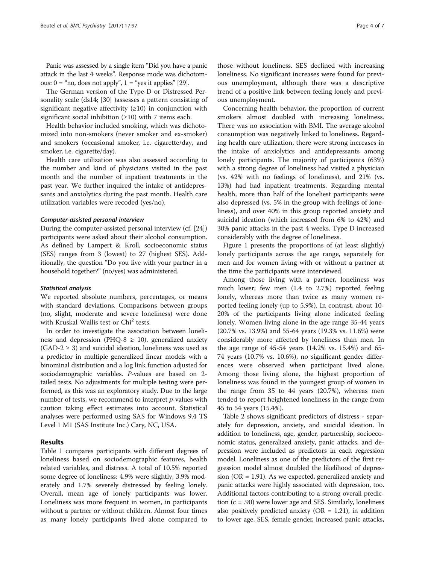Panic was assessed by a single item "Did you have a panic attack in the last 4 weeks". Response mode was dichotomous:  $0 =$  "no, does not apply",  $1 =$  "yes it applies" [\[29\]](#page-6-0).

The German version of the Type-D or Distressed Personality scale (ds14; [\[30\]](#page-6-0) )assesses a pattern consisting of significant negative affectivity  $(≥10)$  in conjunction with significant social inhibition (≥10) with 7 items each.

Health behavior included smoking, which was dichotomized into non-smokers (never smoker and ex-smoker) and smokers (occasional smoker, i.e. cigarette/day, and smoker, i.e. cigarette/day).

Health care utilization was also assessed according to the number and kind of physicians visited in the past month and the number of inpatient treatments in the past year. We further inquired the intake of antidepressants and anxiolytics during the past month. Health care utilization variables were recoded (yes/no).

## Computer-assisted personal interview

During the computer-assisted personal interview (cf. [[24](#page-6-0)]) participants were asked about their alcohol consumption. As defined by Lampert & Kroll, socioeconomic status (SES) ranges from 3 (lowest) to 27 (highest SES). Additionally, the question "Do you live with your partner in a household together?" (no/yes) was administered.

### Statistical analysis

We reported absolute numbers, percentages, or means with standard deviations. Comparisons between groups (no, slight, moderate and severe loneliness) were done with Kruskal Wallis test or Chi<sup>2</sup> tests.

In order to investigate the association between loneliness and depression (PHQ-8  $\geq$  10), generalized anxiety  $(GAD-2 \geq 3)$  and suicidal ideation, loneliness was used as a predictor in multiple generalized linear models with a binominal distribution and a log link function adjusted for sociodemographic variables. P-values are based on 2 tailed tests. No adjustments for multiple testing were performed, as this was an exploratory study. Due to the large number of tests, we recommend to interpret  $p$ -values with caution taking effect estimates into account. Statistical analyses were performed using SAS for Windows 9.4 TS Level 1 M1 (SAS Institute Inc.) Cary, NC, USA.

## Results

Table [1](#page-2-0) compares participants with different degrees of loneliness based on sociodemographic features, health related variables, and distress. A total of 10.5% reported some degree of loneliness: 4.9% were slightly, 3.9% moderately and 1.7% severely distressed by feeling lonely. Overall, mean age of lonely participants was lower. Loneliness was more frequent in women, in participants without a partner or without children. Almost four times as many lonely participants lived alone compared to

those without loneliness. SES declined with increasing loneliness. No significant increases were found for previous unemployment, although there was a descriptive trend of a positive link between feeling lonely and previous unemployment.

Concerning health behavior, the proportion of current smokers almost doubled with increasing loneliness. There was no association with BMI. The average alcohol consumption was negatively linked to loneliness. Regarding health care utilization, there were strong increases in the intake of anxiolytics and antidepressants among lonely participants. The majority of participants (63%) with a strong degree of loneliness had visited a physician (vs. 42% with no feelings of loneliness), and 21% (vs. 13%) had had inpatient treatments. Regarding mental health, more than half of the loneliest participants were also depressed (vs. 5% in the group with feelings of loneliness), and over 40% in this group reported anxiety and suicidal ideation (which increased from 6% to 42%) and 30% panic attacks in the past 4 weeks. Type D increased considerably with the degree of loneliness.

Figure [1](#page-4-0) presents the proportions of (at least slightly) lonely participants across the age range, separately for men and for women living with or without a partner at the time the participants were interviewed.

Among those living with a partner, loneliness was much lower; few men (1.4 to 2.7%) reported feeling lonely, whereas more than twice as many women reported feeling lonely (up to 5.9%). In contrast, about 10- 20% of the participants living alone indicated feeling lonely. Women living alone in the age range 35-44 years (20.7% vs. 13.9%) and 55-64 years (19.3% vs. 11.6%) were considerably more affected by loneliness than men. In the age range of 45-54 years (14.2% vs. 15.4%) and 65- 74 years (10.7% vs. 10.6%), no significant gender differences were observed when participant lived alone. Among those living alone, the highest proportion of loneliness was found in the youngest group of women in the range from 35 to 44 years (20.7%), whereas men tended to report heightened loneliness in the range from 45 to 54 years (15.4%).

Table [2](#page-4-0) shows significant predictors of distress - separately for depression, anxiety, and suicidal ideation. In addition to loneliness, age, gender, partnership, socioeconomic status, generalized anxiety, panic attacks, and depression were included as predictors in each regression model. Loneliness as one of the predictors of the first regression model almost doubled the likelihood of depression (OR = 1.91). As we expected, generalized anxiety and panic attacks were highly associated with depression, too. Additional factors contributing to a strong overall prediction  $(c = .90)$  were lower age and SES. Similarly, loneliness also positively predicted anxiety ( $OR = 1.21$ ), in addition to lower age, SES, female gender, increased panic attacks,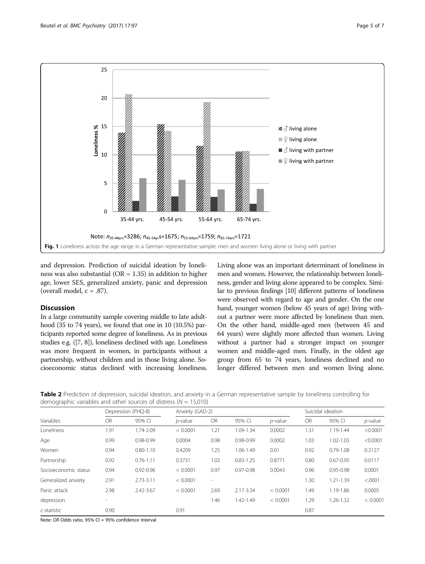<span id="page-4-0"></span>

and depression. Prediction of suicidal ideation by loneliness was also substantial ( $OR = 1.35$ ) in addition to higher age, lower SES, generalized anxiety, panic and depression (overall model,  $c = .87$ ).

## **Discussion**

In a large community sample covering middle to late adulthood (35 to 74 years), we found that one in 10 (10.5%) participants reported some degree of loneliness. As in previous studies e.g. ([\[7](#page-6-0), [8](#page-6-0)]), loneliness declined with age. Loneliness was more frequent in women, in participants without a partnership, without children and in those living alone. Socioeconomic status declined with increasing loneliness. Living alone was an important determinant of loneliness in men and women. However, the relationship between loneliness, gender and living alone appeared to be complex. Similar to previous findings [[10](#page-6-0)] different patterns of loneliness were observed with regard to age and gender. On the one hand, younger women (below 45 years of age) living without a partner were more affected by loneliness than men. On the other hand, middle-aged men (between 45 and 64 years) were slightly more affected than women. Living without a partner had a stronger impact on younger women and middle-aged men. Finally, in the oldest age group from 65 to 74 years, loneliness declined and no longer differed between men and women living alone.

Table 2 Prediction of depression, suicidal ideation, and anxiety in a German representative sample by loneliness controlling for demographic variables and other sources of distress ( $N = 15,010$ )

| Variables            | Depression (PHQ-8)       |               |            | Anxiety (GAD-2) |               |            | Suicidal ideation |               |            |
|----------------------|--------------------------|---------------|------------|-----------------|---------------|------------|-------------------|---------------|------------|
|                      | OR                       | 95% CI        | $p$ -value | <b>OR</b>       | 95% CI        | $p$ -value | <b>OR</b>         | 95% CI        | $p$ -value |
| Loneliness           | 1.91                     | 1.74-2.09     | < 0.0001   | 1.21            | 1.09-1.34     | 0.0002     | 1.31              | 1.19-1.44     | < 0.0001   |
| Age                  | 0.99                     | 0.98-0.99     | 0.0004     | 0.98            | $0.98 - 0.99$ | 0.0002     | 1.03              | 1.02-1.03     | < 0.0001   |
| Women                | 0.94                     | $0.80 - 1.10$ | 0.4209     | 1.25            | 1.06-1.49     | 0.01       | 0.92              | $0.79 - 1.08$ | 0.3127     |
| Partnership          | 0.92                     | $0.76 - 1.11$ | 0.3731     | 1.02            | $0.83 - 1.25$ | 0.8771     | 0.80              | $0.67 - 0.95$ | 0.0117     |
| Socioeconomic status | 0.94                     | $0.92 - 0.96$ | < 0.0001   | 0.97            | $0.97 - 0.98$ | 0.0043     | 0.96              | $0.95 - 0.98$ | 0.0001     |
| Generalized anxiety  | 2.91                     | $2.73 - 3.11$ | < 0.0001   | ٠               |               |            | 1.30              | $1.21 - 1.39$ | < .0001    |
| Panic attack         | 2.98                     | 2.42-3.67     | < 0.0001   | 2.69            | 2.17-3.34     | < 0.0001   | 1.49              | 1.19-1.86     | 0.0005     |
| depression           | $\overline{\phantom{a}}$ |               |            | 1.46            | 1.42-1.49     | < 0.0001   | 1.29              | 1.26-1.32     | < 0.0001   |
| c-statistic          | 0.90                     |               | 0.91       |                 |               |            | 0.87              |               |            |

Note: OR Odds ratio, 95% CI = 95% confidence interval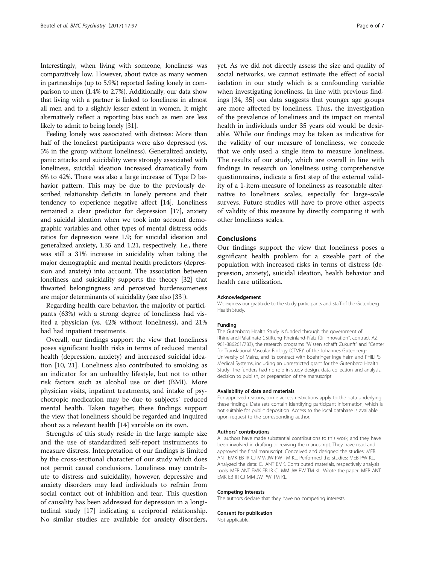Interestingly, when living with someone, loneliness was comparatively low. However, about twice as many women in partnerships (up to 5.9%) reported feeling lonely in comparison to men (1.4% to 2.7%). Additionally, our data show that living with a partner is linked to loneliness in almost all men and to a slightly lesser extent in women. It might alternatively reflect a reporting bias such as men are less likely to admit to being lonely [[31](#page-6-0)].

Feeling lonely was associated with distress: More than half of the loneliest participants were also depressed (vs. 5% in the group without loneliness). Generalized anxiety, panic attacks and suicidality were strongly associated with loneliness, suicidal ideation increased dramatically from 6% to 42%. There was also a large increase of Type D behavior pattern. This may be due to the previously described relationship deficits in lonely persons and their tendency to experience negative affect [\[14\]](#page-6-0). Loneliness remained a clear predictor for depression [\[17\]](#page-6-0), anxiety and suicidal ideation when we took into account demographic variables and other types of mental distress; odds ratios for depression were 1.9; for suicidal ideation and generalized anxiety, 1.35 and 1.21, respectively. I.e., there was still a 31% increase in suicidality when taking the major demographic and mental health predictors (depression and anxiety) into account. The association between loneliness and suicidality supports the theory [\[32\]](#page-6-0) that thwarted belongingness and perceived burdensomeness are major determinants of suicidality (see also [\[33\]](#page-6-0)).

Regarding health care behavior, the majority of participants (63%) with a strong degree of loneliness had visited a physician (vs. 42% without loneliness), and 21% had had inpatient treatments.

Overall, our findings support the view that loneliness poses significant health risks in terms of reduced mental health (depression, anxiety) and increased suicidal ideation [[10, 21](#page-6-0)]. Loneliness also contributed to smoking as an indicator for an unhealthy lifestyle, but not to other risk factors such as alcohol use or diet (BMI). More physician visits, inpatient treatments, and intake of psychotropic medication may be due to subjects` reduced mental health. Taken together, these findings support the view that loneliness should be regarded and inquired about as a relevant health [\[14\]](#page-6-0) variable on its own.

Strengths of this study reside in the large sample size and the use of standardized self-report instruments to measure distress. Interpretation of our findings is limited by the cross-sectional character of our study which does not permit causal conclusions. Loneliness may contribute to distress and suicidality, however, depressive and anxiety disorders may lead individuals to refrain from social contact out of inhibition and fear. This question of causality has been addressed for depression in a longitudinal study [[17\]](#page-6-0) indicating a reciprocal relationship. No similar studies are available for anxiety disorders, yet. As we did not directly assess the size and quality of social networks, we cannot estimate the effect of social isolation in our study which is a confounding variable when investigating loneliness. In line with previous findings [\[34, 35\]](#page-6-0) our data suggests that younger age groups are more affected by loneliness. Thus, the investigation of the prevalence of loneliness and its impact on mental health in individuals under 35 years old would be desirable. While our findings may be taken as indicative for the validity of our measure of loneliness, we concede that we only used a single item to measure loneliness. The results of our study, which are overall in line with findings in research on loneliness using comprehensive questionnaires, indicate a first step of the external validity of a 1-item-measure of loneliness as reasonable alternative to loneliness scales, especially for large-scale surveys. Future studies will have to prove other aspects of validity of this measure by directly comparing it with other loneliness scales.

## Conclusions

Our findings support the view that loneliness poses a significant health problem for a sizeable part of the population with increased risks in terms of distress (depression, anxiety), suicidal ideation, health behavior and health care utilization.

#### Acknowledgement

We express our gratitude to the study participants and staff of the Gutenberg Health Study.

#### Funding

The Gutenberg Health Study is funded through the government of Rhineland-Palatinate ("Stiftung Rheinland-Pfalz für Innovation", contract AZ 961-386261/733), the research programs "Wissen schafft Zukunft" and "Center for Translational Vascular Biology (CTVB)" of the Johannes Gutenberg-University of Mainz, and its contract with Boehringer Ingelheim and PHILIPS Medical Systems, including an unrestricted grant for the Gutenberg Health Study. The funders had no role in study design, data collection and analysis, decision to publish, or preparation of the manuscript.

#### Availability of data and materials

For approved reasons, some access restrictions apply to the data underlying these findings. Data sets contain identifying participant information, which is not suitable for public deposition. Access to the local database is available upon request to the corresponding author.

#### Authors' contributions

All authors have made substantial contributions to this work, and they have been involved in drafting or revising the manuscript. They have read and approved the final manuscript. Conceived and designed the studies: MEB ANT EMK EB IR CJ MM JW PW TM KL. Performed the studies: MEB PW KL. Analyzed the data: CJ ANT EMK. Contributed materials, respectively analysis tools: MEB ANT EMK EB IR CJ MM JW PW TM KL. Wrote the paper: MEB ANT EMK EB IR CJ MM JW PW TM KL.

#### Competing interests

The authors declare that they have no competing interests.

#### Consent for publication

Not applicable.